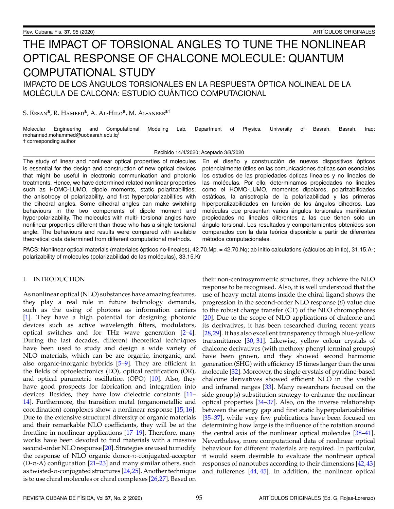# THE IMPACT OF TORSIONAL ANGLES TO TUNE THE NONLINEAR OPTICAL RESPONSE OF CHALCONE MOLECULE: QUANTUM COMPUTATIONAL STUDY

IMPACTO DE LOS ÁNGULOS TORSIONALES EN LA RESPUESTA ÓPTICA NOLINEAL DE LA MOLÉCULA DE CALCONA: ESTUDIO CUÁNTICO COMPUTACIONAL

S. Resan<sup>a</sup>, R. Hameed<sup>a</sup>, A. Al-Hilo<sup>a</sup>, M. Al-anber<sup>a†</sup>

Molecular Engineering and Computational Modeling Lab, Department of Physics, University of Basrah, Basrah, Iraq; mohanned.mohammed@uobasrah.edu.iq† † corresponding author

### Recibido 14/4/2020; Aceptado 3/8/2020

The study of linear and nonlinear optical properties of molecules is essential for the design and construction of new optical devices that might be useful in electronic communication and photonic treatments. Hence, we have determined related nonlinear properties such as HOMO-LUMO, dipole moments, static polarizabilities, the anisotropy of polarizability, and first hyperpolarizabilities with the dihedral angles. Some dihedral angles can make switching behaviours in the two components of dipole moment and hyperpolarizability. The molecules with multi- torsional angles have nonlinear properties different than those who has a single torsional angle. The behaviours and results were compared with available theoretical data determined from different computational methods.

En el diseño y construcción de nuevos dispositivos ópticos potencialmente útiles en las comunicaciones ópticas son esenciales los estudios de las propiedades ópticas lineales y no lineales de las moléculas. Por ello, determinamos propiedades no lineales como el HOMO-LUMO, momentos dipolares, polarizabilidades estáticas, la anisotropía de la polarizabilidad y las primeras hiperporalizabilidades en función de los ángulos dihedros. Las moléculas que presentan varios ángulos torsionales manifiestan propiedades no lineales diferentes a las que tienen solo un ángulo torsional. Los resultados y comportamientos obtenidos son comparados con la data teórica disponible a partir de diferentes métodos computacionales.

PACS: Nonlinear optical materials (materiales ópticos no-lineales), 42.70.Mp, = 42.70.Nq; ab initio calculations (cálculos ab initio), 31.15.A-; polarizability of molecules (polarizabilidad de las moléculas), 33.15.Kr

# I. INTRODUCTION

As nonlinear optical (NLO) substances have amazing features, they play a real role in future technology demands, such as the using of photons as information carriers [\[1\]](#page-4-0). They have a high potential for designing photonic devices such as active wavelength filters, modulators, optical switches and for THz wave generation [\[2–](#page-4-1)[4\]](#page-4-2). During the last decades, different theoretical techniques have been used to study and design a wide variety of NLO materials, which can be are organic, inorganic, and also organic-inorganic hybrids [\[5–](#page-4-3)[9\]](#page-5-0). They are efficient in the fields of optoelectronics (EO), optical rectification (OR), and optical parametric oscillation (OPO) [\[10\]](#page-5-1). Also, they have good prospects for fabrication and integration into devices. Besides, they have low dielectric constants [\[11–](#page-5-2) [14\]](#page-5-3). Furthermore, the transition metal (organometallic and coordination) complexes show a nonlinear response [\[15,](#page-5-4) [16\]](#page-5-5). Due to the extensive structural diversity of organic materials and their remarkable NLO coefficients, they will be at the frontline in nonlinear applications [\[17](#page-5-6)[–19\]](#page-5-7). Therefore, many works have been devoted to find materials with a massive second-order NLO response [\[20\]](#page-5-8). Strategies are used to modify the response of NLO organic donor- $\pi$ -conjugated-acceptor (D- $\pi$ -A) configuration [\[21–](#page-5-9)[23\]](#page-5-10) and many similar others, such as twisted-π-conjugated structures [\[24,](#page-5-11)[25\]](#page-5-12). Another technique is to use chiral molecules or chiral complexes [\[26,](#page-5-13)[27\]](#page-5-14). Based on their non-centrosymmetric structures, they achieve the NLO response to be recognised. Also, it is well understood that the use of heavy metal atoms inside the chiral ligand shows the progression in the second-order NLO response (β) value due to the robust charge transfer (CT) of the NLO chromophores [\[20\]](#page-5-8). Due to the scope of NLO applications of chalcone and its derivatives, it has been researched during recent years [\[28,](#page-5-15)[29\]](#page-5-16). It has also excellent transparency through blue-yellow transmittance [\[30,](#page-5-17) [31\]](#page-5-18). Likewise, yellow colour crystals of chalcone derivatives (with methoxy phenyl terminal groups) have been grown, and they showed second harmonic generation (SHG) with efficiency 15 times larger than the urea molecule [\[32\]](#page-5-19). Moreover, the single crystals of pyridine-based chalcone derivatives showed efficient NLO in the visible and infrared ranges [\[33\]](#page-5-20). Many researchers focused on the side group(s) substitution strategy to enhance the nonlinear optical properties [\[34](#page-5-21)[–37\]](#page-5-22). Also, on the inverse relationship between the energy gap and first static hyperpolarizabilities [\[35–](#page-5-23)[37\]](#page-5-22), while very few publications have been focused on determining how large is the influence of the rotation around the central axis of the nonlinear optical molecules [\[38](#page-5-24)[–41\]](#page-5-25). Nevertheless, more computational data of nonlinear optical behaviour for different materials are required. In particular, it would seem desirable to evaluate the nonlinear optical responses of nanotubes according to their dimensions [\[42,](#page-5-26)[43\]](#page-5-27) and fullerenes [\[44,](#page-5-28) [45\]](#page-5-29). In addition, the nonlinear optical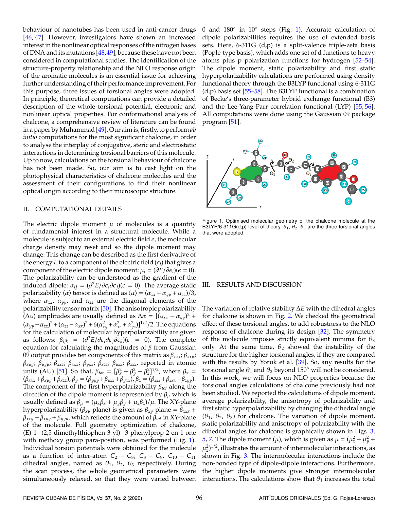behaviour of nanotubes has been used in anti-cancer drugs [\[46,](#page-5-30) [47\]](#page-5-31). However, investigators have shown an increased interest in the nonlinear optical responses of the nitrogen bases of DNA and its mutations [\[48,](#page-5-32)[49\]](#page-5-33), because these have not been considered in computational studies. The identification of the structure-property relationship and the NLO response origin of the aromatic molecules is an essential issue for achieving further understanding of their performance improvement. For this purpose, three issues of torsional angles were adopted. In principle, theoretical computations can provide a detailed description of the whole torsional potential, electronic and nonlinear optical properties. For conformational analysis of chalcone, a comprehensive review of literature can be found in a paper by Muhammad [\[49\]](#page-5-33). Our aim is, firstly, to perform *ab initio* computations for the most significant chalcone, in order to analyse the interplay of conjugative, steric and electrostatic interactions in determining torsional barriers of this molecule. Up to now, calculations on the torsional behaviour of chalcone has not been made. So, our aim is to cast light on the photophysical characteristics of chalcone molecules and the assessment of their configurations to find their nonlinear optical origin according to their microscopic structure.

# II. COMPUTATIONAL DETAILS

The electric dipole moment  $\mu$  of molecules is a quantity of fundamental interest in a structural molecule. While a molecule is subject to an external electric field  $\epsilon$ , the molecular charge density may reset and so the dipole moment may change. This change can be described as the first derivative of the energy E to a component of the electric field  $(\epsilon_i)$  that gives a component of the electric dipole moment:  $\mu_i = (\partial E/\partial \epsilon_i)(\epsilon = 0)$ . The polarizability can be understood as the gradient of the induced dipole:  $\alpha_{ij} = (\partial^2 E/\partial \epsilon_i \partial \epsilon_j)(\epsilon = 0)$ . The average static polarizability  $\langle \alpha \rangle$  tensor is defined as  $\langle \alpha \rangle = (\alpha_{xx} + \alpha_{yy} + \alpha_{zz})/3$ , where  $\alpha_{xx}$ ,  $\alpha_{yy}$ , and  $\alpha_{zz}$  are the diagonal elements of the polarizability tensor matrix [\[50\]](#page-5-34). The anisotropic polarizability (Δ*α*) amplitudes are usually defined as  $\Delta \alpha = [(\alpha_{xx} - \alpha_{yy})^2 +$  $(\alpha_{yy} - \alpha_{zz})^2 + (\alpha_{zz} - \alpha_{xx})^2 + 6(\alpha_{xy}^2 + \alpha_{xz}^2 + \alpha_{yz}^2)$ ]<sup>1/2</sup>/2. The equations for the calculation of molecular hyperpolarizability are given as follows:  $\beta_{ijk} = (\partial^3 E/\partial \epsilon_i \partial \epsilon_j \partial \epsilon_k)(\epsilon = 0)$ . The complete equation for calculating the magnitudes of  $β$  from Gaussian 09 output provides ten components of this matrix as β*xxx*; β*xxy*; β*xyy*; β*yyy*; β*xxz*; β*xyz*; β*yyz*; β*xzz*; β*yzz*; β*zzz*, reported in atomic units (AU) [\[51\]](#page-5-35). So that,  $β_{tot} = [β_x^2 + β_y^2 + β_z^2]^{1/2}$ , where  $β_x =$  $(\beta_{xxx}+\beta_{xyy}+\beta_{xzz})$ ,  $\beta_y=(\beta_{yyy}+\beta_{yzz}+\beta_{yxx})$ ,  $\beta_z=(\beta_{zzz}+\beta_{zxx}+\beta_{zyy})$ . The component of the first hyperpolarizability β*tot* along the direction of the dipole moment is represented by  $\beta_{\mu}$  which is usually defined as  $\beta_{\mu} = (\mu_x \beta_x + \mu_y \beta_y + \mu_z \beta_z)/\mu$ . The XY-plane hyperpolarizability ( $\beta_{xy}$ -plane) is given as  $\beta_{xy}$ -plane =  $\beta_{xxx}$  +  $\beta_{xxy} + \beta_{xyy} + \beta_{yyy}$ , which reflects the amount of  $\beta_{tot}$  in XY-plane of the molecule. Full geometry optimization of chalcone, (E)-1- (2,5-dimethylthiophen-3-yl) -3-phenylprop-2-en-1-one with methoxy group para-position, was performed (Fig. [1\)](#page-1-0). Individual torsion potentials were obtained for the molecule as a function of inter-atom  $C_2 - C_8$ ,  $C_8 - C_9$ ,  $C_{10} - C_{11}$ dihedral angles, named as  $\theta_1$ ,  $\theta_2$ ,  $\theta_3$  respectively. During the scan process, the whole geometrical parameters were simultaneously relaxed, so that they were varied between

0 and 180° in 10° steps (Fig. [1\)](#page-1-0). Accurate calculation of dipole polarizabilities requires the use of extended basis sets. Here, 6-311G (d,p) is a split-valence triple-zeta basis (Pople-type basis), which adds one set of d functions to heavy atoms plus p polarization functions for hydrogen [\[52](#page-5-36)[–54\]](#page-5-37). The dipole moment, static polarizability and first static hyperpolarizability calculations are performed using density functional theory through the B3LYP functional using 6-311G  $(d,p)$  basis set [\[55](#page-5-38)[–58\]](#page-5-39). The B3LYP functional is a combination of Becke's three-parameter hybrid exchange functional (B3) and the Lee-Yang-Parr correlation functional (LYP) [\[55,](#page-5-38) [56\]](#page-5-40). All computations were done using the Gaussian 09 package program [\[51\]](#page-5-35).

<span id="page-1-0"></span>

Figure 1. Optimised molecular geometry of the chalcone molecule at the B3LYP/6-311G(d,p) level of theory.  $\theta_1$ ,  $\theta_2$ ,  $\theta_3$  are the three torsional angles that were adopted.

### III. RESULTS AND DISCUSSION

The variation of relative stability ∆*E* with the dihedral angles for chalcone is shown in Fig. [2.](#page-2-0) We checked the geometrical effect of these torsional angles, to add robustness to the NLO response of chalcone during its design [\[32\]](#page-5-19). The symmetry of the molecule imposes strictly equivalent minima for  $\theta_3$ only. At the same time,  $\theta_2$  showed the instability of the structure for the higher torsional angles, if they are compared with the results by Yoruk et al. [\[39\]](#page-5-41). So, any results for the torsional angle  $\theta_1$  and  $\theta_2$  beyond 150 $\degree$  will not be considered. In this work, we will focus on NLO properties because the torsional angles calculations of chalcone previously had not been studied. We reported the calculations of dipole moment, average polarizability, the anisotropy of polarizability and first static hyperpolarizability by changing the dihedral angle ( $\theta_1$ ,  $\theta_2$ ,  $\theta_3$ ) for chalcone. The variation of dipole moment, static polarizability and anisotropy of polarizability with the dihedral angles for chalcone is graphically shown in Figs. [3,](#page-2-1) [5,](#page-2-2) [7.](#page-3-0) The dipole moment ( $\mu$ ), which is given as  $\mu = (\mu_x^2 + \mu_y^2 + \mu_y^2)$  $\mu_z^2$ )<sup>1/2</sup>, illustrates the amount of intermolecular interactions, as shown in Fig. [3.](#page-2-1) The intermolecular interactions include the non-bonded type of dipole-dipole interactions. Furthermore, the higher dipole moments give stronger intermolecular interactions. The calculations show that  $\theta_1$  increases the total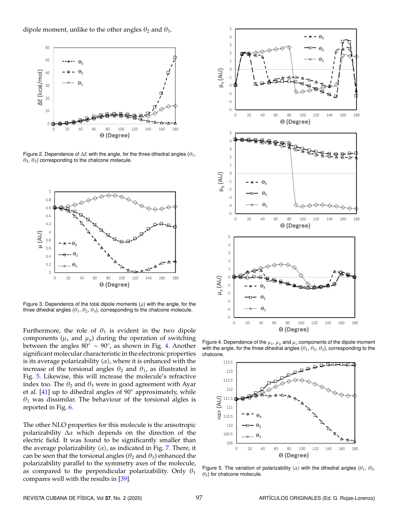<span id="page-2-0"></span>dipole moment, unlike to the other angles  $\theta_2$  and  $\theta_3$ .



Figure 2. Dependence of  $\Delta E$  with the angle, for the three dihedral angles ( $\theta_1$ ,  $\theta_2$ ,  $\theta_3$ ) corresponding to the chalcone molecule.

<span id="page-2-1"></span>

Figure 3. Dependencs of the total dipole moments  $(\mu)$  with the angle, for the three dihedral angles  $(\theta_1, \theta_2, \theta_3)$ , corresponding to the chalcone molecule.

Furthermore, the role of  $\theta_1$  is evident in the two dipole components ( $\mu_x$  and  $\mu_y$ ) during the operation of switching between the angles  $80^\circ \sim 90^\circ$ , as shown in Fig. [4.](#page-2-3) Another significant molecular characteristic in the electronic properties is its average polarizability  $\langle \alpha \rangle$ , where it is enhanced with the increase of the torsional angles  $\theta_2$  and  $\theta_1$ , as illustrated in Fig. [5.](#page-2-2) Likewise, this will increase the molecule's refractive index too. The  $\theta_2$  and  $\theta_3$  were in good agreement with Ayar et al. [\[41\]](#page-5-25) up to dihedral angles of 90◦ approximately, while  $\theta_1$  was dissimilar. The behaviour of the torsional algles is reported in Fig. [6.](#page-3-1)

The other NLO properties for this molecule is the anisotropic polarizability  $\Delta \alpha$  which depends on the direction of the electric field. It was found to be significantly smaller than the average polarizability  $\langle \alpha \rangle$ , as indicated in Fig. [7.](#page-3-0) There, it can be seen that the torsional angles ( $\theta_2$  and  $\theta_3$ ) enhanced the polarizability parallel to the symmetry axes of the molecule, as compared to the perpendicular polarizability. Only  $\theta_1$ compares well with the results in [\[39\]](#page-5-41).

<span id="page-2-3"></span>

Figure 4. Dependence of the  $\mu_x$ ,  $\mu_y$  and  $\mu_z$  components of the dipole moment with the angle, for the three dihedral angles  $(\theta_1, \theta_2, \theta_3)$ , corresponding to the chalcone.

<span id="page-2-2"></span>

Figure 5. The variation of polarizability  $\langle \alpha \rangle$  with the dihedral angles ( $\theta_1$ ,  $\theta_2$ ,  $\theta_3$ ) for chalcone molecule.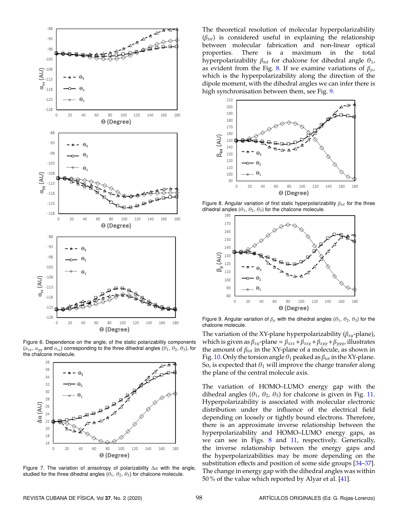<span id="page-3-1"></span>

Figure 6. Dependence on the angle, of the static polarizability components  $(\alpha_{xx}, \alpha_{yy}$  and  $\alpha_{zz})$  corresponding to the three dihedral angles  $(\theta_1, \theta_2, \theta_3)$ , for the chalcone molecule.

<span id="page-3-0"></span>

Figure 7. The variation of anisotropy of polarizability  $\Delta a$  with the angle, studied for the three dihedral angles  $(\theta_1, \theta_2, \theta_3)$  for chalcone molecule.

The theoretical resolution of molecular hyperpolarizability (β*tot*) is considered useful in explaining the relationship between molecular fabrication and non-linear optical properties. There is a maximum in the total hyperpolarizability  $β_{tot}$  for chalcone for dihedral angle  $θ_1$ , as evident from the Fig. [8.](#page-3-2) If we examine variations of  $\beta_{\mu}$ , which is the hyperpolarizability along the direction of the dipole moment, with the dihedral angles we can infer there is high synchronisation between them, see Fig. [9.](#page-3-3)

<span id="page-3-2"></span>

<span id="page-3-3"></span>Figure 8. Angular variation of first static hyperpolarizability β*tot* for the three dihedral angles  $(\theta_1, \theta_2, \theta_3)$  for the chalcone molecule.



Figure 9. Angular variation of  $\beta_{\mu}$  with the dihedral angles ( $\theta_1$ ,  $\theta_2$ ,  $\theta_3$ ) for the chalcone molecule.

The variation of the XY-plane hyperpolarizability (β*xy*-plane), which is given as β*xy*-plane = β*xxx*+β*xxy*+β*xyy*+β*yyy*, illustrates the amount of  $\beta_{tot}$  in the XY-plane of a molecule, as shown in Fig. [10.](#page-4-4) Only the torsion angle  $\theta_1$  peaked as  $\beta_{tot}$  in the XY-plane. So, is expected that  $\theta_1$  will improve the charge transfer along the plane of the central molecule axis.

The variation of HOMO–LUMO energy gap with the dihedral angles ( $\theta_1$ ,  $\theta_2$ ,  $\theta_3$ ) for chalcone is given in Fig. [11.](#page-4-5) Hyperpolarizability is associated with molecular electronic distribution under the influence of the electrical field depending on loosely or tightly bound electrons. Therefore, there is an approximate inverse relationship between the hyperpolarizability and HOMO–LUMO energy gaps, as we can see in Figs.  $8$  and [11,](#page-4-5) respectively. Generically, the inverse relationship between the energy gaps and the hyperpolarizabilities may be more depending on the substitution effects and position of some side groups [\[34](#page-5-21)[–37\]](#page-5-22). The change in energy gap with the dihedral angles was within 50 % of the value which reported by Alyar et al. [\[41\]](#page-5-25).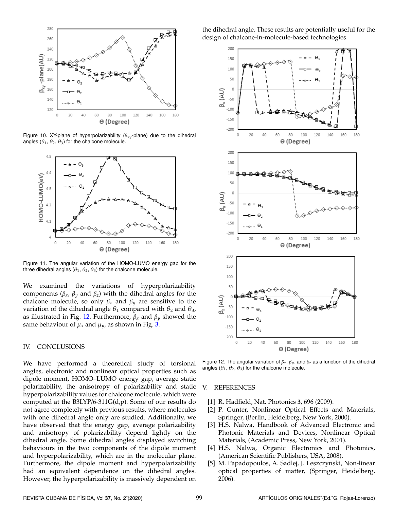<span id="page-4-4"></span>

Figure 10. XY-plane of hyperpolarizability (β*xy*-plane) due to the dihedral angles  $(\theta_1, \theta_2, \theta_3)$  for the chalcone molecule.

<span id="page-4-5"></span>

Figure 11. The angular variation of the HOMO-LUMO energy gap for the three dihedral angles  $(\theta_1, \theta_2, \theta_3)$  for the chalcone molecule.

We examined the variations of hyperpolarizability components (β*x*, β*<sup>y</sup>* and β*z*) with the dihedral angles for the chalcone molecule, so only  $\beta_x$  and  $\beta_y$  are sensitive to the variation of the dihedral angle  $\theta_1$  compared with  $\theta_2$  and  $\theta_3$ , as illustrated in Fig. [12.](#page-4-6) Furthermore, β*<sup>x</sup>* and β*<sup>y</sup>* showed the same behaviour of  $\mu_x$  and  $\mu_y$ , as shown in Fig. [3.](#page-2-1)

# IV. CONCLUSIONS

We have performed a theoretical study of torsional angles, electronic and nonlinear optical properties such as dipole moment, HOMO–LUMO energy gap, average static polarizability, the anisotropy of polarizability and static hyperpolarizability values for chalcone molecule, which were computed at the B3LYP/6-311G(d,p). Some of our results do not agree completely with previous results, where molecules with one dihedral angle only are studied. Additionally, we have observed that the energy gap, average polarizability and anisotropy of polarizability depend lightly on the dihedral angle. Some dihedral angles displayed switching behaviours in the two components of the dipole moment and hyperpolarizability, which are in the molecular plane. Furthermore, the dipole moment and hyperpolarizability had an equivalent dependence on the dihedral angles. However, the hyperpolarizability is massively dependent on

the dihedral angle. These results are potentially useful for the design of chalcone-in-molecule-based technologies.

<span id="page-4-6"></span>

Figure 12. The angular variation of  $\beta_x$ ,  $\beta_y$ , and  $\beta_z$  as a function of the dihedral angles  $(\theta_1, \theta_2, \theta_3)$  for the chalcone molecule.

## V. REFERENCES

- <span id="page-4-0"></span>[1] R. Hadfield, Nat. Photonics **3**, 696 (2009).
- <span id="page-4-1"></span>[2] P. Gunter, Nonlinear Optical Effects and Materials, Springer, (Berlin, Heidelberg, New York, 2000).
- [3] H.S. Nalwa, Handbook of Advanced Electronic and Photonic Materials and Devices, Nonlinear Optical Materials, (Academic Press, New York, 2001).
- <span id="page-4-2"></span>[4] H.S. Nalwa, Organic Electronics and Photonics, (American Scientific Publishers, USA, 2008).
- <span id="page-4-3"></span>[5] M. Papadopoulos, A. Sadlej, J. Leszczynski, Non-linear optical properties of matter, (Springer, Heidelberg, 2006).